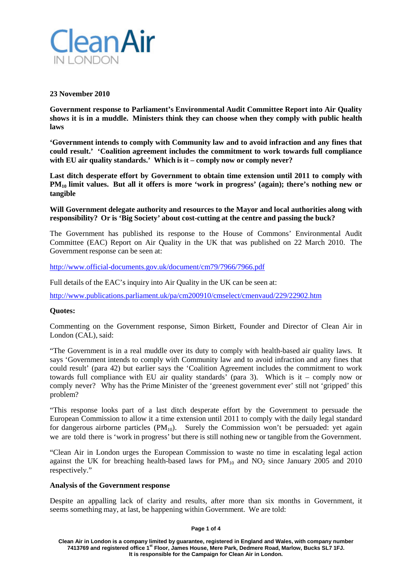

## **23 November 2010**

**Government response to Parliament's Environmental Audit Committee Report into Air Quality shows it is in a muddle. Ministers think they can choose when they comply with public health laws**

**'Government intends to comply with Community law and to avoid infraction and any fines that could result.' 'Coalition agreement includes the commitment to work towards full compliance with EU air quality standards.' Which is it – comply now or comply never?**

**Last ditch desperate effort by Government to obtain time extension until 2011 to comply with PM10 limit values. But all it offers is more 'work in progress' (again); there's nothing new or tangible**

**Will Government delegate authority and resources to the Mayor and local authorities along with responsibility? Or is 'Big Society' about cost-cutting at the centre and passing the buck?**

The Government has published its response to the House of Commons' Environmental Audit Committee (EAC) Report on Air Quality in the UK that was published on 22 March 2010. The Government response can be seen at:

<http://www.official-documents.gov.uk/document/cm79/7966/7966.pdf>

Full details of the EAC's inquiry into Air Quality in the UK can be seen at:

<http://www.publications.parliament.uk/pa/cm200910/cmselect/cmenvaud/229/22902.htm>

## **Quotes:**

Commenting on the Government response, Simon Birkett, Founder and Director of Clean Air in London (CAL), said:

"The Government is in a real muddle over its duty to comply with health-based air quality laws. It says 'Government intends to comply with Community law and to avoid infraction and any fines that could result' (para 42) but earlier says the 'Coalition Agreement includes the commitment to work towards full compliance with EU air quality standards' (para 3). Which is it – comply now or comply never? Why has the Prime Minister of the 'greenest government ever' still not 'gripped' this problem?

"This response looks part of a last ditch desperate effort by the Government to persuade the European Commission to allow it a time extension until 2011 to comply with the daily legal standard for dangerous airborne particles  $(PM_{10})$ . Surely the Commission won't be persuaded: yet again we are told there is 'work in progress' but there is still nothing new or tangible from the Government.

"Clean Air in London urges the European Commission to waste no time in escalating legal action against the UK for breaching health-based laws for  $PM_{10}$  and  $NO_2$  since January 2005 and 2010 respectively."

### **Analysis of the Government response**

Despite an appalling lack of clarity and results, after more than six months in Government, it seems something may, at last, be happening within Government. We are told:

**Page 1 of 4**

**Clean Air in London is a company limited by guarantee, registered in England and Wales, with company number 7413769 and registered office 1st Floor, James House, Mere Park, Dedmere Road, Marlow, Bucks SL7 1FJ. It is responsible for the Campaign for Clean Air in London.**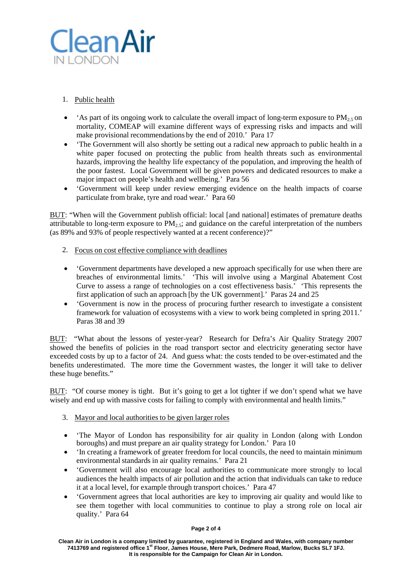

# 1. Public health

- 'As part of its ongoing work to calculate the overall impact of long-term exposure to  $PM<sub>2.5</sub>$  on mortality, COMEAP will examine different ways of expressing risks and impacts and will make provisional recommendations by the end of 2010.' Para 17
- 'The Government will also shortly be setting out a radical new approach to public health in a white paper focused on protecting the public from health threats such as environmental hazards, improving the healthy life expectancy of the population, and improving the health of the poor fastest. Local Government will be given powers and dedicated resources to make a major impact on people's health and wellbeing.' Para 56
- 'Government will keep under review emerging evidence on the health impacts of coarse particulate from brake, tyre and road wear.' Para 60

BUT: "When will the Government publish official: local [and national] estimates of premature deaths attributable to long-term exposure to  $PM<sub>2.5</sub>$ ; and guidance on the careful interpretation of the numbers (as 89% and 93% of people respectively wanted at a recent conference)?"

- 2. Focus on cost effective compliance with deadlines
- 'Government departments have developed a new approach specifically for use when there are breaches of environmental limits.' 'This will involve using a Marginal Abatement Cost Curve to assess a range of technologies on a cost effectiveness basis.' 'This represents the first application of such an approach [by the UK government].' Paras 24 and 25
- 'Government is now in the process of procuring further research to investigate a consistent framework for valuation of ecosystems with a view to work being completed in spring 2011.' Paras 38 and 39

BUT: "What about the lessons of yester-year? Research for Defra's Air Quality Strategy 2007 showed the benefits of policies in the road transport sector and electricity generating sector have exceeded costs by up to a factor of 24. And guess what: the costs tended to be over-estimated and the benefits underestimated. The more time the Government wastes, the longer it will take to deliver these huge benefits."

BUT: "Of course money is tight. But it's going to get a lot tighter if we don't spend what we have wisely and end up with massive costs for failing to comply with environmental and health limits."

- 3. Mayor and local authorities to be given larger roles
- 'The Mayor of London has responsibility for air quality in London (along with London boroughs) and must prepare an air quality strategy for London.' Para 10
- 'In creating a framework of greater freedom for local councils, the need to maintain minimum environmental standards in air quality remains.' Para 21
- 'Government will also encourage local authorities to communicate more strongly to local audiences the health impacts of air pollution and the action that individuals can take to reduce it at a local level, for example through transport choices.' Para 47
- 'Government agrees that local authorities are key to improving air quality and would like to see them together with local communities to continue to play a strong role on local air quality.' Para 64

#### **Page 2 of 4**

**Clean Air in London is a company limited by guarantee, registered in England and Wales, with company number 7413769 and registered office 1st Floor, James House, Mere Park, Dedmere Road, Marlow, Bucks SL7 1FJ. It is responsible for the Campaign for Clean Air in London.**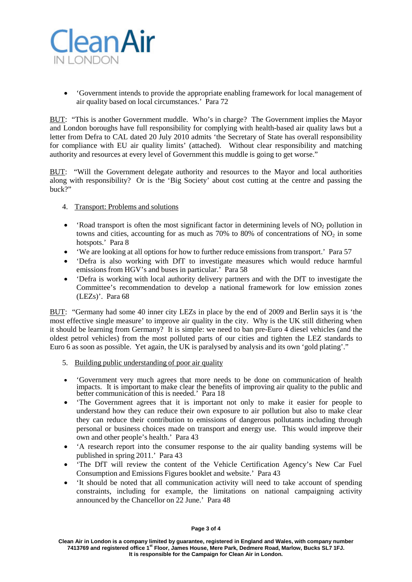

• 'Government intends to provide the appropriate enabling framework for local management of air quality based on local circumstances.' Para 72

BUT: "This is another Government muddle. Who's in charge? The Government implies the Mayor and London boroughs have full responsibility for complying with health-based air quality laws but a letter from Defra to CAL dated 20 July 2010 admits 'the Secretary of State has overall responsibility for compliance with EU air quality limits' (attached). Without clear responsibility and matching authority and resources at every level of Government this muddle is going to get worse."

BUT: "Will the Government delegate authority and resources to the Mayor and local authorities along with responsibility? Or is the 'Big Society' about cost cutting at the centre and passing the buck?"

- 4. Transport: Problems and solutions
- 'Road transport is often the most significant factor in determining levels of  $NO<sub>2</sub>$  pollution in towns and cities, accounting for as much as  $70\%$  to 80% of concentrations of NO<sub>2</sub> in some hotspots.' Para 8
- 'We are looking at all options for how to further reduce emissions from transport.' Para 57
- 'Defra is also working with DfT to investigate measures which would reduce harmful emissions from HGV's and buses in particular.' Para 58
- 'Defra is working with local authority delivery partners and with the DfT to investigate the Committee's recommendation to develop a national framework for low emission zones (LEZs)'. Para 68

BUT: "Germany had some 40 inner city LEZs in place by the end of 2009 and Berlin says it is 'the most effective single measure' to improve air quality in the city. Why is the UK still dithering when it should be learning from Germany? It is simple: we need to ban pre-Euro 4 diesel vehicles (and the oldest petrol vehicles) from the most polluted parts of our cities and tighten the LEZ standards to Euro 6 as soon as possible. Yet again, the UK is paralysed by analysis and its own 'gold plating'."

- 5. Building public understanding of poor air quality
- 'Government very much agrees that more needs to be done on communication of health impacts. It is important to make clear the benefits of improving air quality to the public and better communication of this is needed.' Para 18
- The Government agrees that it is important not only to make it easier for people to understand how they can reduce their own exposure to air pollution but also to make clear they can reduce their contribution to emissions of dangerous pollutants including through personal or business choices made on transport and energy use. This would improve their own and other people's health.' Para 43
- 'A research report into the consumer response to the air quality banding systems will be published in spring 2011.' Para 43
- 'The DfT will review the content of the Vehicle Certification Agency's New Car Fuel Consumption and Emissions Figures booklet and website.' Para 43
- 'It should be noted that all communication activity will need to take account of spending constraints, including for example, the limitations on national campaigning activity announced by the Chancellor on 22 June.' Para 48